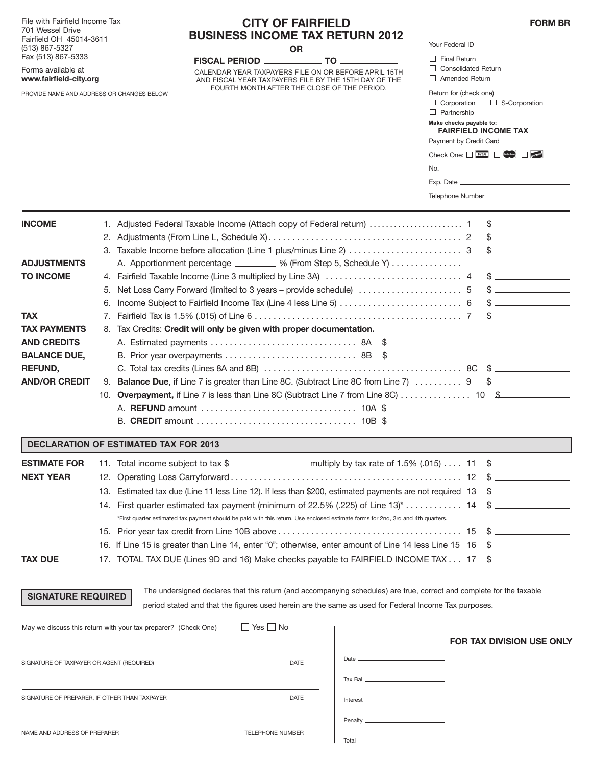File with Fairfield Income Tax 701 Wessel Drive Fairfield OH 45014-3611 (513) 867-5327 Fax (513) 867-5333

# **CITY OF FAIRFIELD FORM BR BUSINESS INCOME TAX RETURN 2012**

**OR**

**FISCAL PERIOD TO**  AND FISCAL YEAR TAAPAYERS FILE BY THE 15TH DAY OF THE 15TH DAY OF THE 15TH DAY OF THE 15TH DAY OF THE 15TH DAY FOURTH MONTH AFTER THE CLOSE OF THE PERIOD.

| 12 I | Your Federal ID     |  |  |  |  |  |
|------|---------------------|--|--|--|--|--|
|      | $\Box$ Final Return |  |  |  |  |  |

| FOURTH MONTH AFTER THE CLOSE OF THE PERIOD.<br>Return for (check one)<br>PROVIDE NAME AND ADDRESS OR CHANGES BELOW<br>$\Box$ Corporation<br>$\Box$ S-Corporation<br>$\Box$ Partnership<br>Make checks payable to:<br><b>FAIRFIELD INCOME TAX</b><br>Payment by Credit Card<br>Check One: $\Box$ WSA $\Box$ $\Box$ $\Box$ $\Box$ $\Box$<br>Exp. Date $\frac{1}{2}$<br>$\frac{1}{2}$<br>$\frac{1}{2}$<br>$\frac{1}{2}$<br>A. Apportionment percentage _________ % (From Step 5, Schedule Y)<br>$\frac{1}{2}$<br>$\frac{1}{2}$<br>5.<br>$\sim$<br>6.<br>$\sim$<br><b>TAX</b><br>8. Tax Credits: Credit will only be given with proper documentation.<br>C. Total tax credits (Lines 8A and 8B) $\dots\dots\dots\dots\dots\dots\dots\dots\dots\dots\dots\dots$ 8C $\quad$<br><b>AND/OR CREDIT</b><br>9. <b>Balance Due</b> , if Line 7 is greater than Line 8C. (Subtract Line 8C from Line 7) $\ldots \ldots \ldots$ 9 \$<br>10. Overpayment, if Line 7 is less than Line 8C (Subtract Line 7 from Line 8C)  10 \$<br><b>DECLARATION OF ESTIMATED TAX FOR 2013</b><br><b>NEXT YEAR</b><br>12.<br>13. Estimated tax due (Line 11 less Line 12). If less than \$200, estimated payments are not required 13 \$<br>*First quarter estimated tax payment should be paid with this return. Use enclosed estimate forms for 2nd, 3rd and 4th quarters.<br>16. If Line 15 is greater than Line 14, enter "0"; otherwise, enter amount of Line 14 less Line 15 16 \$<br>17. TOTAL TAX DUE (Lines 9D and 16) Make checks payable to FAIRFIELD INCOME TAX 17 \$ | Forms available at<br>www.fairfield-city.org |  |  | CALENDAR YEAR TAXPAYERS FILE ON OR BEFORE APRIL 15TH<br>AND FISCAL YEAR TAXPAYERS FILE BY THE 15TH DAY OF THE |  |  |  | $\Box$ Consolidated Return<br>$\Box$ Amended Return |  |  |
|----------------------------------------------------------------------------------------------------------------------------------------------------------------------------------------------------------------------------------------------------------------------------------------------------------------------------------------------------------------------------------------------------------------------------------------------------------------------------------------------------------------------------------------------------------------------------------------------------------------------------------------------------------------------------------------------------------------------------------------------------------------------------------------------------------------------------------------------------------------------------------------------------------------------------------------------------------------------------------------------------------------------------------------------------------------------------------------------------------------------------------------------------------------------------------------------------------------------------------------------------------------------------------------------------------------------------------------------------------------------------------------------------------------------------------------------------------------------------------------------------------------------------------------------------|----------------------------------------------|--|--|---------------------------------------------------------------------------------------------------------------|--|--|--|-----------------------------------------------------|--|--|
| <b>INCOME</b><br><b>ADJUSTMENTS</b><br><b>TO INCOME</b><br><b>TAX PAYMENTS</b><br><b>BALANCE DUE,</b><br><b>REFUND,</b><br><b>ESTIMATE FOR</b><br><b>TAX DUE</b>                                                                                                                                                                                                                                                                                                                                                                                                                                                                                                                                                                                                                                                                                                                                                                                                                                                                                                                                                                                                                                                                                                                                                                                                                                                                                                                                                                                   |                                              |  |  |                                                                                                               |  |  |  |                                                     |  |  |
|                                                                                                                                                                                                                                                                                                                                                                                                                                                                                                                                                                                                                                                                                                                                                                                                                                                                                                                                                                                                                                                                                                                                                                                                                                                                                                                                                                                                                                                                                                                                                    |                                              |  |  |                                                                                                               |  |  |  |                                                     |  |  |
| <b>AND CREDITS</b>                                                                                                                                                                                                                                                                                                                                                                                                                                                                                                                                                                                                                                                                                                                                                                                                                                                                                                                                                                                                                                                                                                                                                                                                                                                                                                                                                                                                                                                                                                                                 |                                              |  |  |                                                                                                               |  |  |  |                                                     |  |  |
|                                                                                                                                                                                                                                                                                                                                                                                                                                                                                                                                                                                                                                                                                                                                                                                                                                                                                                                                                                                                                                                                                                                                                                                                                                                                                                                                                                                                                                                                                                                                                    |                                              |  |  |                                                                                                               |  |  |  |                                                     |  |  |
|                                                                                                                                                                                                                                                                                                                                                                                                                                                                                                                                                                                                                                                                                                                                                                                                                                                                                                                                                                                                                                                                                                                                                                                                                                                                                                                                                                                                                                                                                                                                                    |                                              |  |  |                                                                                                               |  |  |  |                                                     |  |  |
|                                                                                                                                                                                                                                                                                                                                                                                                                                                                                                                                                                                                                                                                                                                                                                                                                                                                                                                                                                                                                                                                                                                                                                                                                                                                                                                                                                                                                                                                                                                                                    |                                              |  |  |                                                                                                               |  |  |  |                                                     |  |  |
|                                                                                                                                                                                                                                                                                                                                                                                                                                                                                                                                                                                                                                                                                                                                                                                                                                                                                                                                                                                                                                                                                                                                                                                                                                                                                                                                                                                                                                                                                                                                                    |                                              |  |  |                                                                                                               |  |  |  |                                                     |  |  |
|                                                                                                                                                                                                                                                                                                                                                                                                                                                                                                                                                                                                                                                                                                                                                                                                                                                                                                                                                                                                                                                                                                                                                                                                                                                                                                                                                                                                                                                                                                                                                    |                                              |  |  |                                                                                                               |  |  |  |                                                     |  |  |
|                                                                                                                                                                                                                                                                                                                                                                                                                                                                                                                                                                                                                                                                                                                                                                                                                                                                                                                                                                                                                                                                                                                                                                                                                                                                                                                                                                                                                                                                                                                                                    |                                              |  |  |                                                                                                               |  |  |  |                                                     |  |  |
|                                                                                                                                                                                                                                                                                                                                                                                                                                                                                                                                                                                                                                                                                                                                                                                                                                                                                                                                                                                                                                                                                                                                                                                                                                                                                                                                                                                                                                                                                                                                                    |                                              |  |  |                                                                                                               |  |  |  |                                                     |  |  |
|                                                                                                                                                                                                                                                                                                                                                                                                                                                                                                                                                                                                                                                                                                                                                                                                                                                                                                                                                                                                                                                                                                                                                                                                                                                                                                                                                                                                                                                                                                                                                    |                                              |  |  |                                                                                                               |  |  |  |                                                     |  |  |
|                                                                                                                                                                                                                                                                                                                                                                                                                                                                                                                                                                                                                                                                                                                                                                                                                                                                                                                                                                                                                                                                                                                                                                                                                                                                                                                                                                                                                                                                                                                                                    |                                              |  |  |                                                                                                               |  |  |  |                                                     |  |  |
|                                                                                                                                                                                                                                                                                                                                                                                                                                                                                                                                                                                                                                                                                                                                                                                                                                                                                                                                                                                                                                                                                                                                                                                                                                                                                                                                                                                                                                                                                                                                                    |                                              |  |  |                                                                                                               |  |  |  |                                                     |  |  |
|                                                                                                                                                                                                                                                                                                                                                                                                                                                                                                                                                                                                                                                                                                                                                                                                                                                                                                                                                                                                                                                                                                                                                                                                                                                                                                                                                                                                                                                                                                                                                    |                                              |  |  |                                                                                                               |  |  |  |                                                     |  |  |
|                                                                                                                                                                                                                                                                                                                                                                                                                                                                                                                                                                                                                                                                                                                                                                                                                                                                                                                                                                                                                                                                                                                                                                                                                                                                                                                                                                                                                                                                                                                                                    |                                              |  |  |                                                                                                               |  |  |  |                                                     |  |  |
|                                                                                                                                                                                                                                                                                                                                                                                                                                                                                                                                                                                                                                                                                                                                                                                                                                                                                                                                                                                                                                                                                                                                                                                                                                                                                                                                                                                                                                                                                                                                                    |                                              |  |  |                                                                                                               |  |  |  |                                                     |  |  |
|                                                                                                                                                                                                                                                                                                                                                                                                                                                                                                                                                                                                                                                                                                                                                                                                                                                                                                                                                                                                                                                                                                                                                                                                                                                                                                                                                                                                                                                                                                                                                    |                                              |  |  |                                                                                                               |  |  |  |                                                     |  |  |
|                                                                                                                                                                                                                                                                                                                                                                                                                                                                                                                                                                                                                                                                                                                                                                                                                                                                                                                                                                                                                                                                                                                                                                                                                                                                                                                                                                                                                                                                                                                                                    |                                              |  |  |                                                                                                               |  |  |  |                                                     |  |  |
|                                                                                                                                                                                                                                                                                                                                                                                                                                                                                                                                                                                                                                                                                                                                                                                                                                                                                                                                                                                                                                                                                                                                                                                                                                                                                                                                                                                                                                                                                                                                                    |                                              |  |  |                                                                                                               |  |  |  |                                                     |  |  |
|                                                                                                                                                                                                                                                                                                                                                                                                                                                                                                                                                                                                                                                                                                                                                                                                                                                                                                                                                                                                                                                                                                                                                                                                                                                                                                                                                                                                                                                                                                                                                    |                                              |  |  |                                                                                                               |  |  |  |                                                     |  |  |
|                                                                                                                                                                                                                                                                                                                                                                                                                                                                                                                                                                                                                                                                                                                                                                                                                                                                                                                                                                                                                                                                                                                                                                                                                                                                                                                                                                                                                                                                                                                                                    |                                              |  |  |                                                                                                               |  |  |  |                                                     |  |  |
|                                                                                                                                                                                                                                                                                                                                                                                                                                                                                                                                                                                                                                                                                                                                                                                                                                                                                                                                                                                                                                                                                                                                                                                                                                                                                                                                                                                                                                                                                                                                                    |                                              |  |  |                                                                                                               |  |  |  |                                                     |  |  |
|                                                                                                                                                                                                                                                                                                                                                                                                                                                                                                                                                                                                                                                                                                                                                                                                                                                                                                                                                                                                                                                                                                                                                                                                                                                                                                                                                                                                                                                                                                                                                    |                                              |  |  |                                                                                                               |  |  |  |                                                     |  |  |
| The undersigned declares that this return (and accompanying schedules) are true, correct and complete for the taxable<br><b>SIGNATURE REQUIRED</b>                                                                                                                                                                                                                                                                                                                                                                                                                                                                                                                                                                                                                                                                                                                                                                                                                                                                                                                                                                                                                                                                                                                                                                                                                                                                                                                                                                                                 |                                              |  |  |                                                                                                               |  |  |  |                                                     |  |  |

period stated and that the figures used herein are the same as used for Federal Income Tax purposes. **SIGNATURE REQUIRED SIGNATURE REQUIRED**

May we discuss this return with your tax preparer? (Check One)  $\Box$  Yes  $\Box$  No SIGNATURE OF TAXPAYER OR AGENT (REQUIRED) DATE SIGNATURE OF PREPARER, IF OTHER THAN TAXPAYER DATE NAME AND ADDRESS OF PREPARER TELEPHONE NUMBER **FOR TAX DIVISION USE ONLY** Date Tax Bal Interest Penalty Total